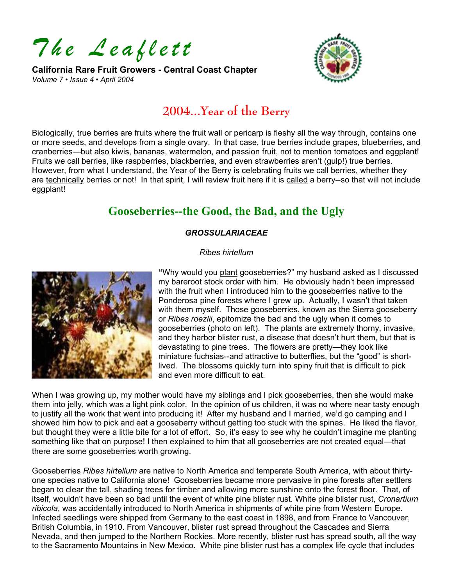*The Leaflett* 

**California Rare Fruit Growers - Central Coast Chapter**  *Volume 7 • Issue 4 • April 2004* 



# **2004...Year of the Berry**

Biologically, true berries are fruits where the fruit wall or pericarp is fleshy all the way through, contains one or more seeds, and develops from a single ovary. In that case, true berries include grapes, blueberries, and cranberries—but also kiwis, bananas, watermelon, and passion fruit, not to mention tomatoes and eggplant! Fruits we call berries, like raspberries, blackberries, and even strawberries aren't (gulp!) true berries. However, from what I understand, the Year of the Berry is celebrating fruits we call berries, whether they are technically berries or not! In that spirit, I will review fruit here if it is called a berry--so that will not include eggplant!

# **Gooseberries--the Good, the Bad, and the Ugly**

### *GROSSULARIACEAE*

### *Ribes hirtellum*



**"**Why would you plant gooseberries?" my husband asked as I discussed my bareroot stock order with him. He obviously hadn't been impressed with the fruit when I introduced him to the gooseberries native to the Ponderosa pine forests where I grew up. Actually, I wasn't that taken with them myself. Those gooseberries, known as the Sierra gooseberry or *Ribes roezlii*, epitomize the bad and the ugly when it comes to gooseberries (photo on left). The plants are extremely thorny, invasive, and they harbor blister rust, a disease that doesn't hurt them, but that is devastating to pine trees. The flowers are pretty—they look like miniature fuchsias--and attractive to butterflies, but the "good" is shortlived. The blossoms quickly turn into spiny fruit that is difficult to pick and even more difficult to eat.

When I was growing up, my mother would have my siblings and I pick gooseberries, then she would make them into jelly, which was a light pink color. In the opinion of us children, it was no where near tasty enough to justify all the work that went into producing it! After my husband and I married, we'd go camping and I showed him how to pick and eat a gooseberry without getting too stuck with the spines. He liked the flavor, but thought they were a little bite for a lot of effort. So, it's easy to see why he couldn't imagine me planting something like that on purpose! I then explained to him that all gooseberries are not created equal—that there are some gooseberries worth growing.

Gooseberries *Ribes hirtellum* are native to North America and temperate South America, with about thirtyone species native to California alone! Gooseberries became more pervasive in pine forests after settlers began to clear the tall, shading trees for timber and allowing more sunshine onto the forest floor. That, of itself, wouldn't have been so bad until the event of white pine blister rust. White pine blister rust, *Cronartium ribicola*, was accidentally introduced to North America in shipments of white pine from Western Europe. Infected seedlings were shipped from Germany to the east coast in 1898, and from France to Vancouver, British Columbia, in 1910. From Vancouver, blister rust spread throughout the Cascades and Sierra Nevada, and then jumped to the Northern Rockies. More recently, blister rust has spread south, all the way to the Sacramento Mountains in New Mexico. White pine blister rust has a complex life cycle that includes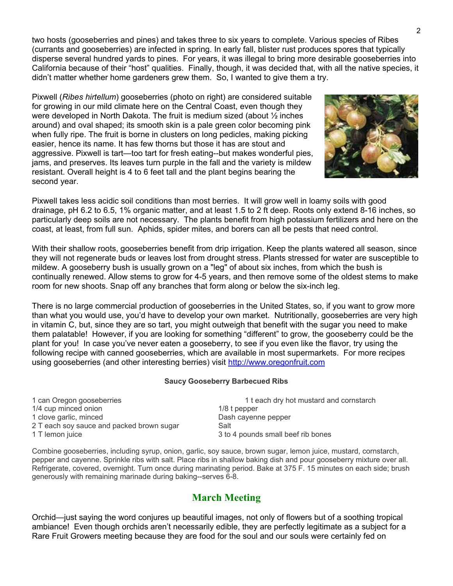two hosts (gooseberries and pines) and takes three to six years to complete. Various species of Ribes (currants and gooseberries) are infected in spring. In early fall, blister rust produces spores that typically disperse several hundred yards to pines. For years, it was illegal to bring more desirable gooseberries into California because of their "host" qualities. Finally, though, it was decided that, with all the native species, it didn't matter whether home gardeners grew them. So, I wanted to give them a try.

Pixwell (*Ribes hirtellum*) gooseberries (photo on right) are considered suitable for growing in our mild climate here on the Central Coast, even though they were developed in North Dakota. The fruit is medium sized (about ½ inches around) and oval shaped; its smooth skin is a pale green color becoming pink when fully ripe. The fruit is borne in clusters on long pedicles, making picking easier, hence its name. It has few thorns but those it has are stout and aggressive. Pixwell is tart—too tart for fresh eating--but makes wonderful pies, jams, and preserves. Its leaves turn purple in the fall and the variety is mildew resistant. Overall height is 4 to 6 feet tall and the plant begins bearing the second year.



Pixwell takes less acidic soil conditions than most berries. It will grow well in loamy soils with good drainage, pH 6.2 to 6.5, 1% organic matter, and at least 1.5 to 2 ft deep. Roots only extend 8-16 inches, so particularly deep soils are not necessary. The plants benefit from high potassium fertilizers and here on the coast, at least, from full sun. Aphids, spider mites, and borers can all be pests that need control.

With their shallow roots, gooseberries benefit from drip irrigation. Keep the plants watered all season, since they will not regenerate buds or leaves lost from drought stress. Plants stressed for water are susceptible to mildew. A gooseberry bush is usually grown on a "leg" of about six inches, from which the bush is continually renewed. Allow stems to grow for 4-5 years, and then remove some of the oldest stems to make room for new shoots. Snap off any branches that form along or below the six-inch leg.

There is no large commercial production of gooseberries in the United States, so, if you want to grow more than what you would use, you'd have to develop your own market. Nutritionally, gooseberries are very high in vitamin C, but, since they are so tart, you might outweigh that benefit with the sugar you need to make them palatable! However, if you are looking for something "different" to grow, the gooseberry could be the plant for you! In case you've never eaten a gooseberry, to see if you even like the flavor, try using the following recipe with canned gooseberries, which are available in most supermarkets. For more recipes using gooseberries (and other interesting berries) visit [http://www.oregonfruit.com](http://www.oregonfruit.com/)

#### **Saucy Gooseberry Barbecued Ribs**

1 can Oregon gooseberries 1 t each dry hot mustard and cornstarch 1/4 cup minced onion 1/8 t pepper 1 clove garlic, minced and Dash cayenne pepper 2 T each soy sauce and packed brown sugar Salt 1 T lemon juice 3 to 4 pounds small beef rib bones

Combine gooseberries, including syrup, onion, garlic, soy sauce, brown sugar, lemon juice, mustard, cornstarch,

pepper and cayenne. Sprinkle ribs with salt. Place ribs in shallow baking dish and pour gooseberry mixture over all. Refrigerate, covered, overnight. Turn once during marinating period. Bake at 375 F. 15 minutes on each side; brush generously with remaining marinade during baking--serves 6-8.

## **March Meeting**

Orchid—just saying the word conjures up beautiful images, not only of flowers but of a soothing tropical ambiance! Even though orchids aren't necessarily edible, they are perfectly legitimate as a subject for a Rare Fruit Growers meeting because they are food for the soul and our souls were certainly fed on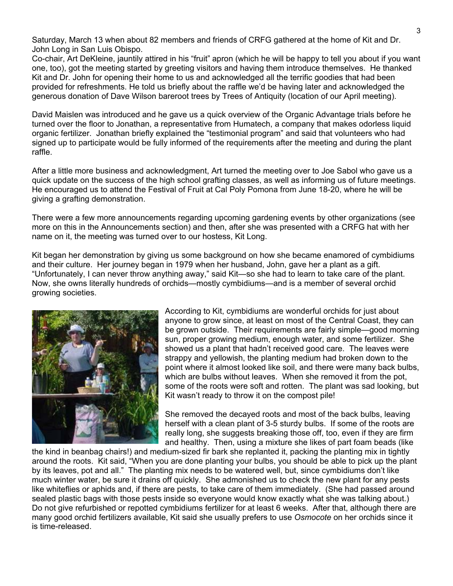Saturday, March 13 when about 82 members and friends of CRFG gathered at the home of Kit and Dr. John Long in San Luis Obispo.

Co-chair, Art DeKleine, jauntily attired in his "fruit" apron (which he will be happy to tell you about if you want one, too), got the meeting started by greeting visitors and having them introduce themselves. He thanked Kit and Dr. John for opening their home to us and acknowledged all the terrific goodies that had been provided for refreshments. He told us briefly about the raffle we'd be having later and acknowledged the generous donation of Dave Wilson bareroot trees by Trees of Antiquity (location of our April meeting).

David Maislen was introduced and he gave us a quick overview of the Organic Advantage trials before he turned over the floor to Jonathan, a representative from Humatech, a company that makes odorless liquid organic fertilizer. Jonathan briefly explained the "testimonial program" and said that volunteers who had signed up to participate would be fully informed of the requirements after the meeting and during the plant raffle.

After a little more business and acknowledgment, Art turned the meeting over to Joe Sabol who gave us a quick update on the success of the high school grafting classes, as well as informing us of future meetings. He encouraged us to attend the Festival of Fruit at Cal Poly Pomona from June 18-20, where he will be giving a grafting demonstration.

There were a few more announcements regarding upcoming gardening events by other organizations (see more on this in the Announcements section) and then, after she was presented with a CRFG hat with her name on it, the meeting was turned over to our hostess, Kit Long.

Kit began her demonstration by giving us some background on how she became enamored of cymbidiums and their culture. Her journey began in 1979 when her husband, John, gave her a plant as a gift. "Unfortunately, I can never throw anything away," said Kit—so she had to learn to take care of the plant. Now, she owns literally hundreds of orchids—mostly cymbidiums—and is a member of several orchid growing societies.



According to Kit, cymbidiums are wonderful orchids for just about anyone to grow since, at least on most of the Central Coast, they can be grown outside. Their requirements are fairly simple—good morning sun, proper growing medium, enough water, and some fertilizer. She showed us a plant that hadn't received good care. The leaves were strappy and yellowish, the planting medium had broken down to the point where it almost looked like soil, and there were many back bulbs, which are bulbs without leaves. When she removed it from the pot, some of the roots were soft and rotten. The plant was sad looking, but Kit wasn't ready to throw it on the compost pile!

She removed the decayed roots and most of the back bulbs, leaving herself with a clean plant of 3-5 sturdy bulbs. If some of the roots are really long, she suggests breaking those off, too, even if they are firm and healthy. Then, using a mixture she likes of part foam beads (like

the kind in beanbag chairs!) and medium-sized fir bark she replanted it, packing the planting mix in tightly around the roots. Kit said, "When you are done planting your bulbs, you should be able to pick up the plant by its leaves, pot and all." The planting mix needs to be watered well, but, since cymbidiums don't like much winter water, be sure it drains off quickly. She admonished us to check the new plant for any pests like whiteflies or aphids and, if there are pests, to take care of them immediately. (She had passed around sealed plastic bags with those pests inside so everyone would know exactly what she was talking about.) Do not give refurbished or repotted cymbidiums fertilizer for at least 6 weeks. After that, although there are many good orchid fertilizers available, Kit said she usually prefers to use *Osmocote* on her orchids since it is time-released.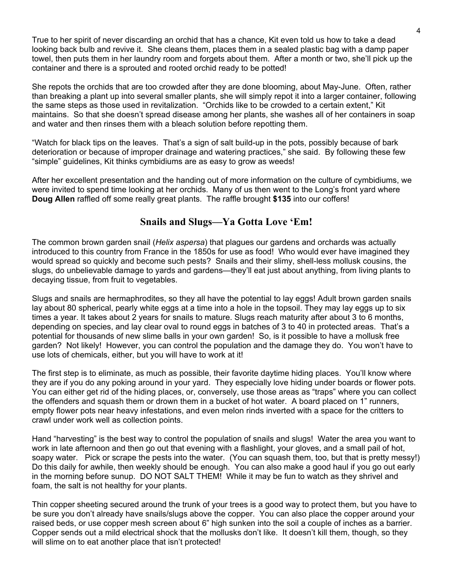True to her spirit of never discarding an orchid that has a chance, Kit even told us how to take a dead looking back bulb and revive it. She cleans them, places them in a sealed plastic bag with a damp paper towel, then puts them in her laundry room and forgets about them. After a month or two, she'll pick up the container and there is a sprouted and rooted orchid ready to be potted!

She repots the orchids that are too crowded after they are done blooming, about May-June. Often, rather than breaking a plant up into several smaller plants, she will simply repot it into a larger container, following the same steps as those used in revitalization. "Orchids like to be crowded to a certain extent," Kit maintains. So that she doesn't spread disease among her plants, she washes all of her containers in soap and water and then rinses them with a bleach solution before repotting them.

"Watch for black tips on the leaves. That's a sign of salt build-up in the pots, possibly because of bark deterioration or because of improper drainage and watering practices," she said. By following these few "simple" guidelines, Kit thinks cymbidiums are as easy to grow as weeds!

After her excellent presentation and the handing out of more information on the culture of cymbidiums, we were invited to spend time looking at her orchids. Many of us then went to the Long's front yard where **Doug Allen** raffled off some really great plants. The raffle brought **\$135** into our coffers!

## **Snails and Slugs—Ya Gotta Love 'Em!**

The common brown garden snail (*Helix aspersa*) that plagues our gardens and orchards was actually introduced to this country from France in the 1850s for use as food! Who would ever have imagined they would spread so quickly and become such pests? Snails and their slimy, shell-less mollusk cousins, the slugs, do unbelievable damage to yards and gardens—they'll eat just about anything, from living plants to decaying tissue, from fruit to vegetables.

Slugs and snails are hermaphrodites, so they all have the potential to lay eggs! Adult brown garden snails lay about 80 spherical, pearly white eggs at a time into a hole in the topsoil. They may lay eggs up to six times a year. It takes about 2 years for snails to mature. Slugs reach maturity after about 3 to 6 months, depending on species, and lay clear oval to round eggs in batches of 3 to 40 in protected areas. That's a potential for thousands of new slime balls in your own garden! So, is it possible to have a mollusk free garden? Not likely! However, you can control the population and the damage they do. You won't have to use lots of chemicals, either, but you will have to work at it!

The first step is to eliminate, as much as possible, their favorite daytime hiding places. You'll know where they are if you do any poking around in your yard. They especially love hiding under boards or flower pots. You can either get rid of the hiding places, or, conversely, use those areas as "traps" where you can collect the offenders and squash them or drown them in a bucket of hot water. A board placed on 1" runners, empty flower pots near heavy infestations, and even melon rinds inverted with a space for the critters to crawl under work well as collection points.

Hand "harvesting" is the best way to control the population of snails and slugs! Water the area you want to work in late afternoon and then go out that evening with a flashlight, your gloves, and a small pail of hot, soapy water. Pick or scrape the pests into the water. (You can squash them, too, but that is pretty messy!) Do this daily for awhile, then weekly should be enough. You can also make a good haul if you go out early in the morning before sunup. DO NOT SALT THEM! While it may be fun to watch as they shrivel and foam, the salt is not healthy for your plants.

Thin copper sheeting secured around the trunk of your trees is a good way to protect them, but you have to be sure you don't already have snails/slugs above the copper. You can also place the copper around your raised beds, or use copper mesh screen about 6" high sunken into the soil a couple of inches as a barrier. Copper sends out a mild electrical shock that the mollusks don't like. It doesn't kill them, though, so they will slime on to eat another place that isn't protected!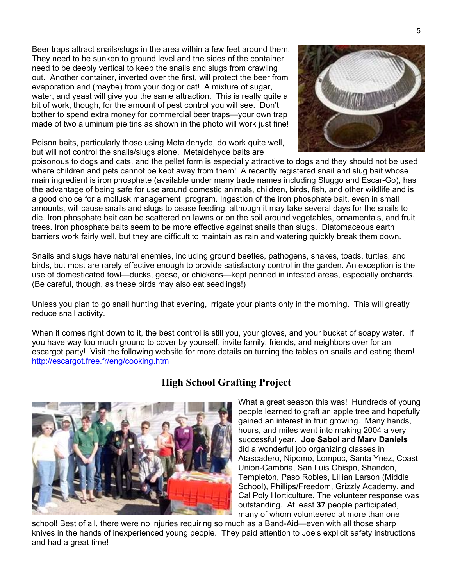Beer traps attract snails/slugs in the area within a few feet around them. They need to be sunken to ground level and the sides of the container need to be deeply vertical to keep the snails and slugs from crawling out. Another container, inverted over the first, will protect the beer from evaporation and (maybe) from your dog or cat! A mixture of sugar, water, and yeast will give you the same attraction. This is really quite a bit of work, though, for the amount of pest control you will see. Don't bother to spend extra money for commercial beer traps—your own trap made of two aluminum pie tins as shown in the photo will work just fine!

Poison baits, particularly those using Metaldehyde, do work quite well, but will not control the snails/slugs alone. Metaldehyde baits are



poisonous to dogs and cats, and the pellet form is especially attractive to dogs and they should not be used where children and pets cannot be kept away from them! A recently registered snail and slug bait whose main ingredient is iron phosphate (available under many trade names including Sluggo and Escar-Go), has the advantage of being safe for use around domestic animals, children, birds, fish, and other wildlife and is a good choice for a mollusk management program. Ingestion of the iron phosphate bait, even in small amounts, will cause snails and slugs to cease feeding, although it may take several days for the snails to die. Iron phosphate bait can be scattered on lawns or on the soil around vegetables, ornamentals, and fruit trees. Iron phosphate baits seem to be more effective against snails than slugs. Diatomaceous earth barriers work fairly well, but they are difficult to maintain as rain and watering quickly break them down.

Snails and slugs have natural enemies, including ground beetles, pathogens, snakes, toads, turtles, and birds, but most are rarely effective enough to provide satisfactory control in the garden. An exception is the use of domesticated fowl—ducks, geese, or chickens—kept penned in infested areas, especially orchards. (Be careful, though, as these birds may also eat seedlings!)

Unless you plan to go snail hunting that evening, irrigate your plants only in the morning. This will greatly reduce snail activity.

When it comes right down to it, the best control is still you, your gloves, and your bucket of soapy water. If you have way too much ground to cover by yourself, invite family, friends, and neighbors over for an escargot party! Visit the following website for more details on turning the tables on snails and eating them! <http://escargot.free.fr/eng/cooking.htm>



# **High School Grafting Project**

What a great season this was! Hundreds of y oung people learned to graft an apple tree and hopeful ly gained an interest in fruit growing. Many hand s, hours, and miles went into making 2004 a very successful year. **Joe Sabol** and **Marv Daniels** did a wonderful job organizing classes in Atascadero, Nipomo, Lompoc, Santa Ynez, Coas t Union-Cambria, San Luis Obispo, Shandon, Templeton, Paso Robles, Lillian Larson (Middle School), Phillips/Freedom, Grizzly Academy , and Cal Poly Horticulture. The volunteer respon se was outstanding. At least **37** people participated, many of whom volunteered at more than one

school! Best of all, there were no injuries requiring so much as a Band-Aid—even with all those sharp knives in the hands of inexperienced young people. They paid attention to Joe's explicit safety instructions and had a great time!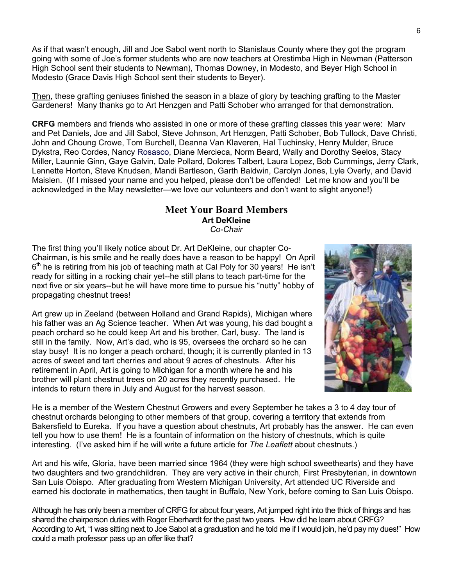As if that wasn't enough, Jill and Joe Sabol went north to Stanislaus County where they got the program going with some of Joe's former students who are now teachers at Orestimba High in Newman (Patterson High School sent their students to Newman), Thomas Downey, in Modesto, and Beyer High School in Modesto (Grace Davis High School sent their students to Beyer).

Then, these grafting geniuses finished the season in a blaze of glory by teaching grafting to the Master Gardeners! Many thanks go to Art Henzgen and Patti Schober who arranged for that demonstration.

**CRFG** members and friends who assisted in one or more of these grafting classes this year were: Marv and Pet Daniels, Joe and Jill Sabol, Steve Johnson, Art Henzgen, Patti Schober, Bob Tullock, Dave Christi, John and Choung Crowe, Tom Burchell, Deanna Van Klaveren, Hal Tuchinsky, Henry Mulder, Bruce Dykstra, Reo Cordes, Nancy Rosasco, Diane Mercieca, Norm Beard, Wally and Dorothy Seelos, Stacy Miller, Launnie Ginn, Gaye Galvin, Dale Pollard, Dolores Talbert, Laura Lopez, Bob Cummings, Jerry Clark, Lennette Horton, Steve Knudsen, Mandi Bartleson, Garth Baldwin, Carolyn Jones, Lyle Overly, and David Maislen. (If I missed your name and you helped, please don't be offended! Let me know and you'll be acknowledged in the May newsletter—we love our volunteers and don't want to slight anyone!)

#### **Meet Your Board Members Art DeKleine** *Co-Chair*

The first thing you'll likely notice about Dr. Art DeKleine, our chapter Co-Chairman, is his smile and he really does have a reason to be happy! On April  $6<sup>th</sup>$  he is retiring from his job of teaching math at Cal Poly for 30 years! He isn't ready for sitting in a rocking chair yet--he still plans to teach part-time for the next five or six years--but he will have more time to pursue his "nutty" hobby of propagating chestnut trees!

Art grew up in Zeeland (between Holland and Grand Rapids), Michigan where his father was an Ag Science teacher. When Art was young, his dad bought a peach orchard so he could keep Art and his brother, Carl, busy. The land is still in the family. Now, Art's dad, who is 95, oversees the orchard so he can stay busy! It is no longer a peach orchard, though; it is currently planted in 13 acres of sweet and tart cherries and about 9 acres of chestnuts. After his retirement in April, Art is going to Michigan for a month where he and his brother will plant chestnut trees on 20 acres they recently purchased. He intends to return there in July and August for the harvest season.



He is a member of the Western Chestnut Growers and every September he takes a 3 to 4 day tour of chestnut orchards belonging to other members of that group, covering a territory that extends from Bakersfield to Eureka. If you have a question about chestnuts, Art probably has the answer. He can even tell you how to use them! He is a fountain of information on the history of chestnuts, which is quite interesting. (I've asked him if he will write a future article for *The Leaflett* about chestnuts.)

Art and his wife, Gloria, have been married since 1964 (they were high school sweethearts) and they have two daughters and two grandchildren. They are very active in their church, First Presbyterian, in downtown San Luis Obispo. After graduating from Western Michigan University, Art attended UC Riverside and earned his doctorate in mathematics, then taught in Buffalo, New York, before coming to San Luis Obispo.

Although he has only been a member of CRFG for about four years, Art jumped right into the thick of things and has shared the chairperson duties with Roger Eberhardt for the past two years. How did he learn about CRFG? According to Art, "I was sitting next to Joe Sabol at a graduation and he told me if I would join, he'd pay my dues!" How could a math professor pass up an offer like that?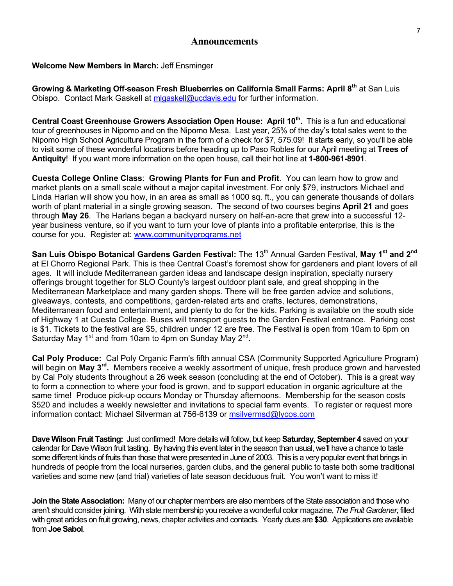#### **Announcements**

#### **Welcome New Members in March:** Jeff Ensminger

**Growing & Marketing Off-season Fresh Blueberries on California Small Farms: April 8th** at San Luis Obispo. Contact Mark Gaskell at [mlgaskell@ucdavis.edu](mailto:mlgaskell@ucdavis.edu) for further information.

Central Coast Greenhouse Growers Association Open House: April 10<sup>th</sup>. This is a fun and educational tour of greenhouses in Nipomo and on the Nipomo Mesa. Last year, 25% of the day's total sales went to the Nipomo High School Agriculture Program in the form of a check for \$7, 575.09! It starts early, so you'll be able to visit some of these wonderful locations before heading up to Paso Robles for our April meeting at **Trees of Antiquity**! If you want more information on the open house, call their hot line at **1-800-961-8901**.

**Cuesta College Online Class**: **[Growing Plants for Fun and Profit](http://www.communityprograms.net/onlinecourses/ogindex.htm)**. You can learn how to grow and market plants on a small scale without a major capital investment. For only \$79, instructors Michael and Linda Harlan will show you how, in an area as small as 1000 sq. ft., you can generate thousands of dollars worth of plant material in a single growing season. The second of two courses begins **April 21** and goes through **May 26**. The Harlans began a backyard nursery on half-an-acre that grew into a successful 12 year business venture, so if you want to turn your love of plants into a profitable enterprise, this is the course for you. Register at: [www.communityprograms.net](http://www.communityprograms.net/)

**San Luis Obispo Botanical Gardens Garden Festival:** The 13<sup>th</sup> Annual Garden Festival, May 1<sup>st</sup> and 2<sup>nd</sup> at El Chorro Regional Park. This is thee Central Coast's foremost show for gardeners and plant lovers of all ages. It will include Mediterranean garden ideas and landscape design inspiration, specialty nursery offerings brought together for SLO County's largest outdoor plant sale, and great shopping in the Mediterranean Marketplace and many garden shops. There will be free garden advice and solutions, giveaways, contests, and competitions, garden-related arts and crafts, lectures, demonstrations, Mediterranean food and entertainment, and plenty to do for the kids. Parking is available on the south side of Highway 1 at Cuesta College. Buses will transport guests to the Garden Festival entrance. Parking cost is \$1. Tickets to the festival are \$5, children under 12 are free. The Festival is open from 10am to 6pm on Saturday May 1st and from 10am to 4pm on Sunday May 2nd.

**Cal Poly Produce:** Cal Poly Organic Farm's fifth annual CSA (Community Supported Agriculture Program) will begin on **May 3rd.** Members receive a weekly assortment of unique, fresh produce grown and harvested by Cal Poly students throughout a 26 week season (concluding at the end of October). This is a great way to form a connection to where your food is grown, and to support education in organic agriculture at the same time! Produce pick-up occurs Monday or Thursday afternoons. Membership for the season costs \$520 and includes a weekly newsletter and invitations to special farm events. To register or request more information contact: Michael Silverman at 756-6139 or [msilvermsd@lycos.com](mailto:msilvermsd@lycos.com)

**Dave Wilson Fruit Tasting:** Just confirmed! More details will follow, but keep **Saturday, September 4** saved on your calendar for Dave Wilson fruit tasting. By having this event later in the season than usual, we'll have a chance to taste some different kinds of fruits than those that were presented in June of 2003. This is a very popular event that brings in hundreds of people from the local nurseries, garden clubs, and the general public to taste both some traditional varieties and some new (and trial) varieties of late season deciduous fruit. You won't want to miss it!

**Join the State Association:** Many of our chapter members are also members of the State association and those who aren't should consider joining. With state membership you receive a wonderful color magazine, *The Fruit Gardener*, filled with great articles on fruit growing, news, chapter activities and contacts. Yearly dues are **\$30**. Applications are available from **Joe Sabol**.